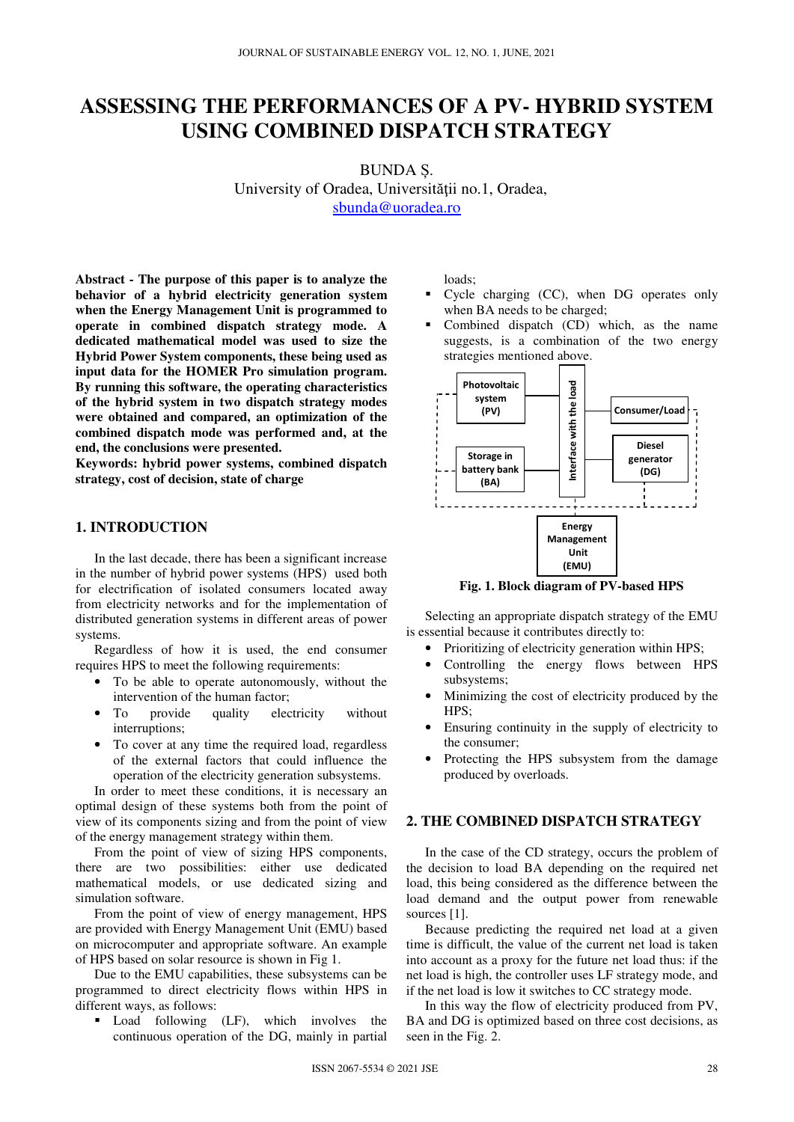# **ASSESSING THE PERFORMANCES OF A PV- HYBRID SYSTEM USING COMBINED DISPATCH STRATEGY**

BUNDA Ș. University of Oradea, Universităţii no.1, Oradea, sbunda@uoradea.ro

**Abstract - The purpose of this paper is to analyze the behavior of a hybrid electricity generation system when the Energy Management Unit is programmed to operate in combined dispatch strategy mode. A dedicated mathematical model was used to size the Hybrid Power System components, these being used as input data for the HOMER Pro simulation program. By running this software, the operating characteristics of the hybrid system in two dispatch strategy modes were obtained and compared, an optimization of the combined dispatch mode was performed and, at the end, the conclusions were presented.** 

**Keywords: hybrid power systems, combined dispatch strategy, cost of decision, state of charge**

## **1. INTRODUCTION**

In the last decade, there has been a significant increase in the number of hybrid power systems (HPS) used both for electrification of isolated consumers located away from electricity networks and for the implementation of distributed generation systems in different areas of power systems.

Regardless of how it is used, the end consumer requires HPS to meet the following requirements:

- To be able to operate autonomously, without the intervention of the human factor;
- To provide quality electricity without interruptions;
- To cover at any time the required load, regardless of the external factors that could influence the operation of the electricity generation subsystems.

In order to meet these conditions, it is necessary an optimal design of these systems both from the point of view of its components sizing and from the point of view of the energy management strategy within them.

From the point of view of sizing HPS components, there are two possibilities: either use dedicated mathematical models, or use dedicated sizing and simulation software.

From the point of view of energy management, HPS are provided with Energy Management Unit (EMU) based on microcomputer and appropriate software. An example of HPS based on solar resource is shown in Fig 1.

Due to the EMU capabilities, these subsystems can be programmed to direct electricity flows within HPS in different ways, as follows:

 Load following (LF), which involves the continuous operation of the DG, mainly in partial loads;

- Cycle charging (CC), when DG operates only when BA needs to be charged;
- Combined dispatch (CD) which, as the name suggests, is a combination of the two energy strategies mentioned above.



**Fig. 1. Block diagram of PV-based HPS** 

Selecting an appropriate dispatch strategy of the EMU is essential because it contributes directly to:

- Prioritizing of electricity generation within HPS;
- Controlling the energy flows between HPS subsystems;
- Minimizing the cost of electricity produced by the HPS;
- Ensuring continuity in the supply of electricity to the consumer;
- Protecting the HPS subsystem from the damage produced by overloads.

## **2. THE COMBINED DISPATCH STRATEGY**

In the case of the CD strategy, occurs the problem of the decision to load BA depending on the required net load, this being considered as the difference between the load demand and the output power from renewable sources [1].

Because predicting the required net load at a given time is difficult, the value of the current net load is taken into account as a proxy for the future net load thus: if the net load is high, the controller uses LF strategy mode, and if the net load is low it switches to CC strategy mode.

In this way the flow of electricity produced from PV, BA and DG is optimized based on three cost decisions, as seen in the Fig. 2.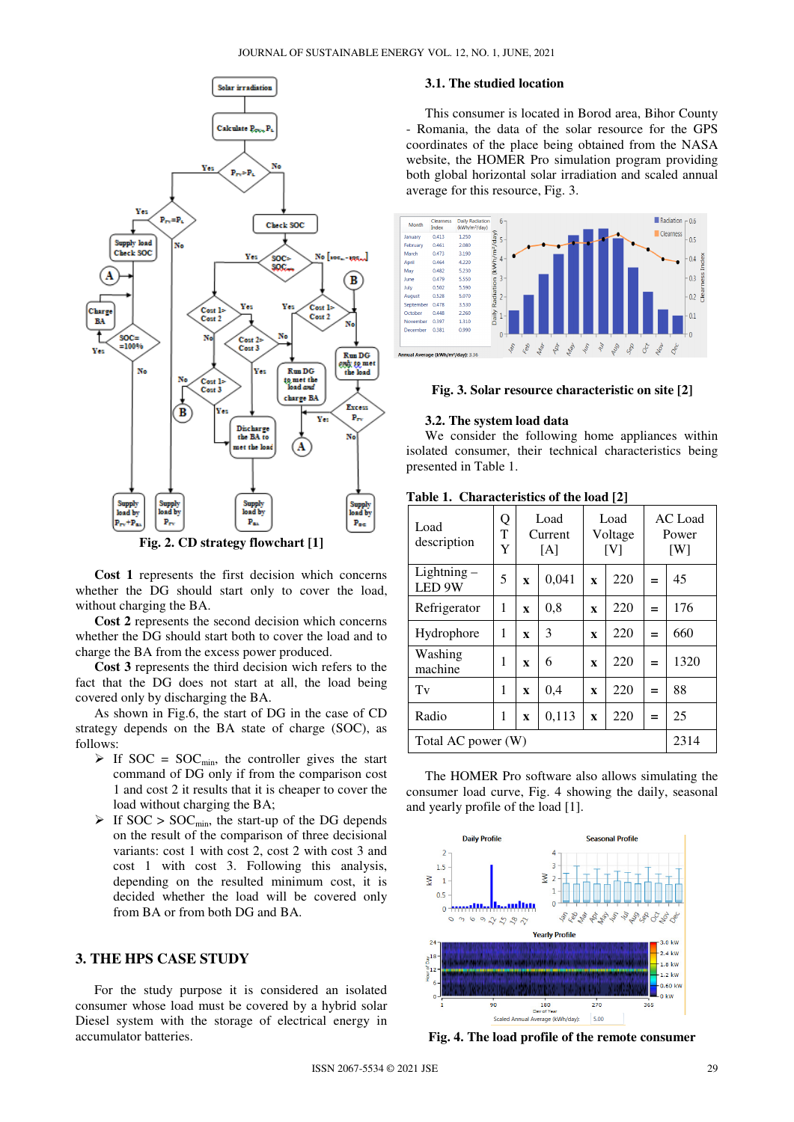

**Fig. 2. CD strategy flowchart [1]** 

**Cost 1** represents the first decision which concerns whether the DG should start only to cover the load, without charging the BA.

**Cost 2** represents the second decision which concerns whether the DG should start both to cover the load and to charge the BA from the excess power produced.

**Cost 3** represents the third decision wich refers to the fact that the DG does not start at all, the load being covered only by discharging the BA.

As shown in Fig.6, the start of DG in the case of CD strategy depends on the BA state of charge (SOC), as follows:

- $\triangleright$  If SOC = SOC<sub>min</sub>, the controller gives the start command of DG only if from the comparison cost 1 and cost 2 it results that it is cheaper to cover the load without charging the BA;
- $\triangleright$  If SOC  $>$  SOC<sub>min</sub>, the start-up of the DG depends on the result of the comparison of three decisional variants: cost 1 with cost 2, cost 2 with cost 3 and cost 1 with cost 3. Following this analysis, depending on the resulted minimum cost, it is decided whether the load will be covered only from BA or from both DG and BA.

## **3. THE HPS CASE STUDY**

For the study purpose it is considered an isolated consumer whose load must be covered by a hybrid solar Diesel system with the storage of electrical energy in accumulator batteries.

## **3.1. The studied location**

This consumer is located in Borod area, Bihor County - Romania, the data of the solar resource for the GPS coordinates of the place being obtained from the NASA website, the HOMER Pro simulation program providing both global horizontal solar irradiation and scaled annual average for this resource, Fig. 3.



#### **Fig. 3. Solar resource characteristic on site [2]**

#### **3.2. The system load data**

We consider the following home appliances within isolated consumer, their technical characteristics being presented in Table 1.

| Load<br>description                | Q<br>T<br>Y |              | Load<br>Current<br>[A] |              | Load<br>Voltage<br>[V] |     | AC Load<br>Power<br>[W] |
|------------------------------------|-------------|--------------|------------------------|--------------|------------------------|-----|-------------------------|
| $Lighthing -$<br>LED <sub>9W</sub> | 5           | $\mathbf{x}$ | 0,041                  | $\mathbf{x}$ | 220                    | $=$ | 45                      |
| Refrigerator                       | 1           | $\mathbf{x}$ | 0,8                    | $\mathbf{x}$ | 220                    | $=$ | 176                     |
| Hydrophore                         | 1           | $\mathbf{x}$ | 3                      | $\mathbf{x}$ | 220                    | =   | 660                     |
| Washing<br>machine                 | 1           | $\mathbf{x}$ | 6                      | $\mathbf{x}$ | 220                    | =   | 1320                    |
| Tv                                 | 1           | $\mathbf{x}$ | 0,4                    | $\mathbf{x}$ | 220                    | $=$ | 88                      |
| Radio                              | 1           | $\mathbf{x}$ | 0,113                  | $\mathbf{x}$ | 220                    | =   | 25                      |
| Total AC power (W)                 |             |              |                        | 2314         |                        |     |                         |

**Table 1. Characteristics of the load [2]** 

The HOMER Pro software also allows simulating the consumer load curve, Fig. 4 showing the daily, seasonal and yearly profile of the load [1].



**Fig. 4. The load profile of the remote consumer**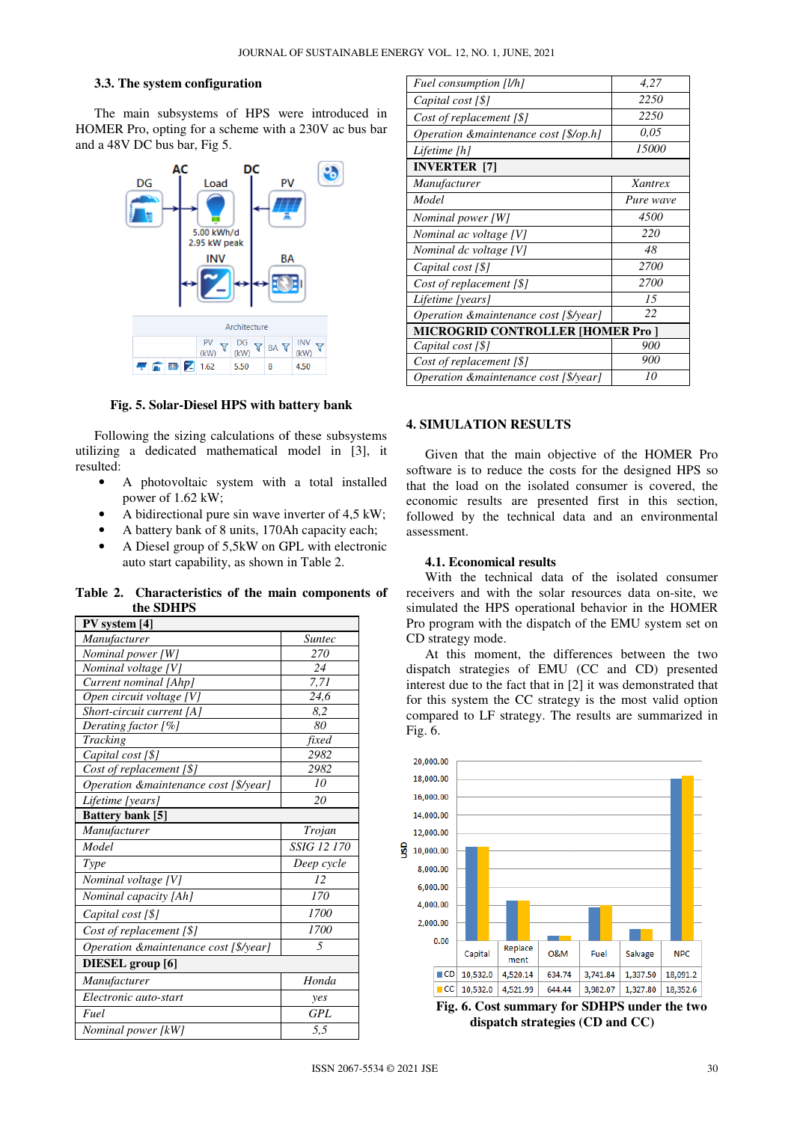#### **3.3. The system configuration**

The main subsystems of HPS were introduced in HOMER Pro, opting for a scheme with a 230V ac bus bar and a 48V DC bus bar, Fig 5.



**Fig. 5. Solar-Diesel HPS with battery bank Diesel** 

Following the sizing calculations of these subsystems utilizing a dedicated mathematical model in [3], [3], it resulted:

- A photovoltaic system with a total installed power of 1.62 kW;
- A bidirectional pure sin wave inverter of 4,5 kW; • A bidirectional pure sin wave inverter of 4,5 kW<br>• A battery bank of 8 units, 170Ah capacity each;
- 
- A Diesel group of 5,5kW on GPL with electronic auto start capability, as shown in Table 2.

**Table 2. Characteristics of the main components of the SDHPS** 

| PV system [4]                          |               |  |  |  |
|----------------------------------------|---------------|--|--|--|
| Manufacturer                           | <i>Suntec</i> |  |  |  |
| Nominal power [W]                      | 270           |  |  |  |
| Nominal voltage [V]                    | 24            |  |  |  |
| Current nominal [Ahp]                  | 7,71          |  |  |  |
| Open circuit voltage [V]               | 24,6          |  |  |  |
| Short-circuit current [A]              | 8,2           |  |  |  |
| Derating factor [%]                    | 80            |  |  |  |
| <b>Tracking</b>                        | fixed         |  |  |  |
| Capital cost [\$]                      | 2982          |  |  |  |
| Cost of replacement [\$]               | 2982          |  |  |  |
| Operation & maintenance cost [\$/year] | 10            |  |  |  |
| Lifetime [years]                       | 20            |  |  |  |
| Battery bank [5]                       |               |  |  |  |
| Manufacturer                           | Trojan        |  |  |  |
| Model                                  | SSIG 12 170   |  |  |  |
| Type                                   | Deep cycle    |  |  |  |
| Nominal voltage [V]                    | 12            |  |  |  |
| Nominal capacity [Ah]                  | 170           |  |  |  |
| Capital cost [\$]                      | 1700          |  |  |  |
| Cost of replacement [\$]               | 1700          |  |  |  |
| Operation &maintenance cost [\$/year]  | 5             |  |  |  |
| DIESEL group [6]                       |               |  |  |  |
| Manufacturer                           | Honda         |  |  |  |
| Electronic auto-start                  | yes           |  |  |  |
| Fuel                                   | <b>GPL</b>    |  |  |  |
| Nominal power [kW]                     | 5,5           |  |  |  |

| Fuel consumption [l/h]                          | 4,27         |  |  |  |
|-------------------------------------------------|--------------|--|--|--|
| Capital cost [\$]                               | 2250         |  |  |  |
| Cost of replacement [\$]                        | 2250         |  |  |  |
| Operation & maintenance cost [\$/op.h]          | 0.05         |  |  |  |
| Lifetime [h]                                    | <i>15000</i> |  |  |  |
| <b>INVERTER</b> [7]                             |              |  |  |  |
| Manufacturer                                    | Xantrex      |  |  |  |
| Model                                           | Pure wave    |  |  |  |
| Nominal power [W]                               | 4500         |  |  |  |
| Nominal ac voltage [V]                          | 220          |  |  |  |
| Nominal dc voltage [V]                          | 48           |  |  |  |
| Capital cost [\$]                               | 2700         |  |  |  |
| Cost of replacement [\$]                        | 2700         |  |  |  |
| Lifetime [years]                                | 15           |  |  |  |
| Operation & maintenance cost [\$/year]          | 22           |  |  |  |
| <b>MICROGRID CONTROLLER [HOMER Pro ]</b>        |              |  |  |  |
| Capital cost [\$]                               | 900          |  |  |  |
| Cost of replacement $\lceil \frac{6}{5} \rceil$ | 900          |  |  |  |
| Operation & maintenance cost [\$/year]          | 10           |  |  |  |

### **4. SIMULATION RESULTS**

Given that the main objective of the HOMER Pro software is to reduce the costs for the designed HPS so that the load on the isolated consumer is covered, the economic results are presented first in this section, followed by the technical data and an environmental assessment.

## **4.1. Economical results**

With the technical data of the isolated consumer receivers and with the solar resources data on-site, we simulated the HPS operational behavior in the HOMER Pro program with the dispatch of the EMU system set on CD strategy mode.

At this moment, the differences between the two dispatch strategies of EMU (CC and CD) presented interest due to the fact that in [2 2] it was demonstrated that for this system the CC strategy is the most valid option compared to LF strategy. The results are summarized in Fig. 6.



**Fig. 6. Cost summary for SDHPS under the two . dispatch strategies (CD and CC)**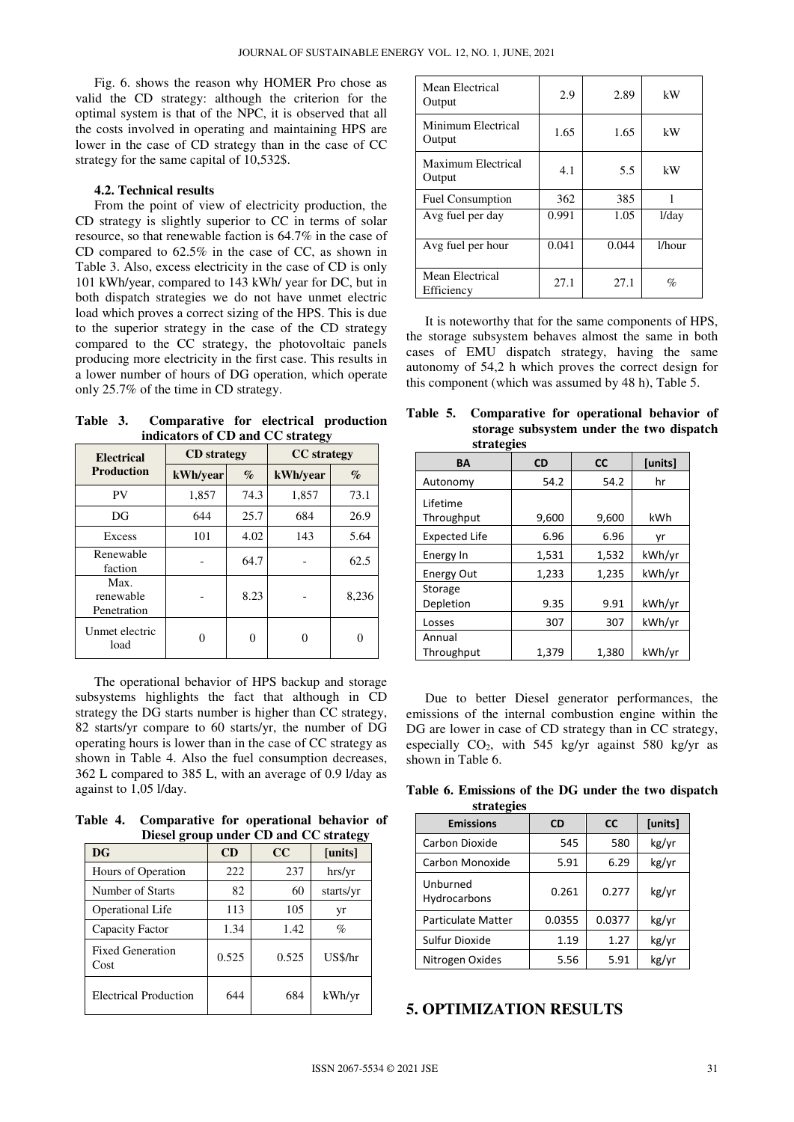Fig. 6. shows the reason why HOMER Pro chose as valid the CD strategy: although the criterion for the optimal system is that of the NPC, it is observed that all the costs involved in operating and maintaining HPS are lower in the case of CD strategy than in the case of CC strategy for the same capital of 10,532\$.

#### **4.2. Technical results**

From the point of view of electricity production, the CD strategy is slightly superior to CC in terms of solar resource, so that renewable faction is 64.7% in the case of CD compared to 62.5% in the case of CC, as shown in Table 3. Also, excess electricity in the case of CD is only 101 kWh/year, compared to 143 kWh/ year for DC, but in both dispatch strategies we do not have unmet electric load which proves a correct sizing of the HPS. This is due to the superior strategy in the case of the CD strategy compared to the CC strategy, the photovoltaic panels producing more electricity in the first case. This results in a lower number of hours of DG operation, which operate only 25.7% of the time in CD strategy.

**Table 3. Comparative for electrical production indicators of CD and CC strategy** 

| <b>Electrical</b>                | <b>CD</b> strategy |      | <b>CC</b> strategy |       |
|----------------------------------|--------------------|------|--------------------|-------|
| <b>Production</b>                | kWh/year           | $\%$ | kWh/year           | $\%$  |
| PV                               | 1,857              | 74.3 | 1,857              | 73.1  |
| DG                               | 644                | 25.7 | 684                | 26.9  |
| Excess                           | 101                | 4.02 | 143                | 5.64  |
| Renewable<br>faction             |                    | 64.7 |                    | 62.5  |
| Max.<br>renewable<br>Penetration |                    | 8.23 |                    | 8,236 |
| Unmet electric<br>load           |                    | 0    | $\mathbf{\Omega}$  | 0     |

The operational behavior of HPS backup and storage subsystems highlights the fact that although in CD strategy the DG starts number is higher than CC strategy, 82 starts/yr compare to 60 starts/yr, the number of DG operating hours is lower than in the case of CC strategy as shown in Table 4. Also the fuel consumption decreases, 362 L compared to 385 L, with an average of 0.9 l/day as against to 1,05 l/day.

**Table 4. Comparative for operational behavior of Diesel group under CD and CC strategy** 

| <b>DG</b>                       | CD    | CC    | ອັ<br>[units] |
|---------------------------------|-------|-------|---------------|
| Hours of Operation              | 222   | 237   | hrs/yr        |
| Number of Starts                | 82    | 60    | starts/yr     |
| Operational Life                | 113   | 105   | yr            |
| Capacity Factor                 | 1.34  | 1.42  | $\%$          |
| <b>Fixed Generation</b><br>Cost | 0.525 | 0.525 | US\$/hr       |
| <b>Electrical Production</b>    | 644   | 684   | kWh/yr        |

| Mean Electrical<br>Output     | 2.9   | 2.89  | kW        |
|-------------------------------|-------|-------|-----------|
| Minimum Electrical<br>Output  | 1.65  | 1.65  | kW        |
| Maximum Electrical<br>Output  | 4.1   | 5.5   | kW        |
| <b>Fuel Consumption</b>       | 362   | 385   |           |
| Avg fuel per day              | 0.991 | 1.05  | 1/day     |
| Avg fuel per hour             | 0.041 | 0.044 | $1/h$ our |
| Mean Electrical<br>Efficiency | 27.1  | 27.1  | $\%$      |

It is noteworthy that for the same components of HPS, the storage subsystem behaves almost the same in both cases of EMU dispatch strategy, having the same autonomy of 54,2 h which proves the correct design for this component (which was assumed by 48 h), Table 5.

**Table 5. Comparative for operational behavior of storage subsystem under the two dispatch strategies** 

| $\frac{1}{2}$               |           |           |         |
|-----------------------------|-----------|-----------|---------|
| BA                          | <b>CD</b> | <b>CC</b> | [units] |
| Autonomy                    | 54.2      | 54.2      | hr      |
| I ifetime<br>Throughput     | 9,600     | 9,600     | kWh     |
| <b>Expected Life</b>        | 6.96      | 6.96      | yr      |
| Energy In                   | 1,531     | 1,532     | kWh/yr  |
| <b>Energy Out</b>           | 1,233     | 1,235     | kWh/yr  |
| <b>Storage</b><br>Depletion | 9.35      | 9.91      | kWh/yr  |
| Losses                      | 307       | 307       | kWh/yr  |
| Annual<br>Throughput        | 1,379     | 1,380     | kWh/yr  |

Due to better Diesel generator performances, the emissions of the internal combustion engine within the DG are lower in case of CD strategy than in CC strategy, especially  $CO<sub>2</sub>$ , with 545 kg/yr against 580 kg/yr as shown in Table 6.

**Table 6. Emissions of the DG under the two dispatch strategies**

| <b>SURGIUS</b>           |           |           |         |
|--------------------------|-----------|-----------|---------|
| <b>Emissions</b>         | <b>CD</b> | <b>CC</b> | [units] |
| Carbon Dioxide           | 545       | 580       | kg/yr   |
| Carbon Monoxide          | 5.91      | 6.29      | kg/yr   |
| Unburned<br>Hydrocarbons | 0.261     | 0.277     | kg/yr   |
| Particulate Matter       | 0.0355    | 0.0377    | kg/yr   |
| Sulfur Dioxide           | 1.19      | 1.27      | kg/yr   |
| Nitrogen Oxides          | 5.56      | 5.91      | kg/yr   |

## **5. OPTIMIZATION RESULTS**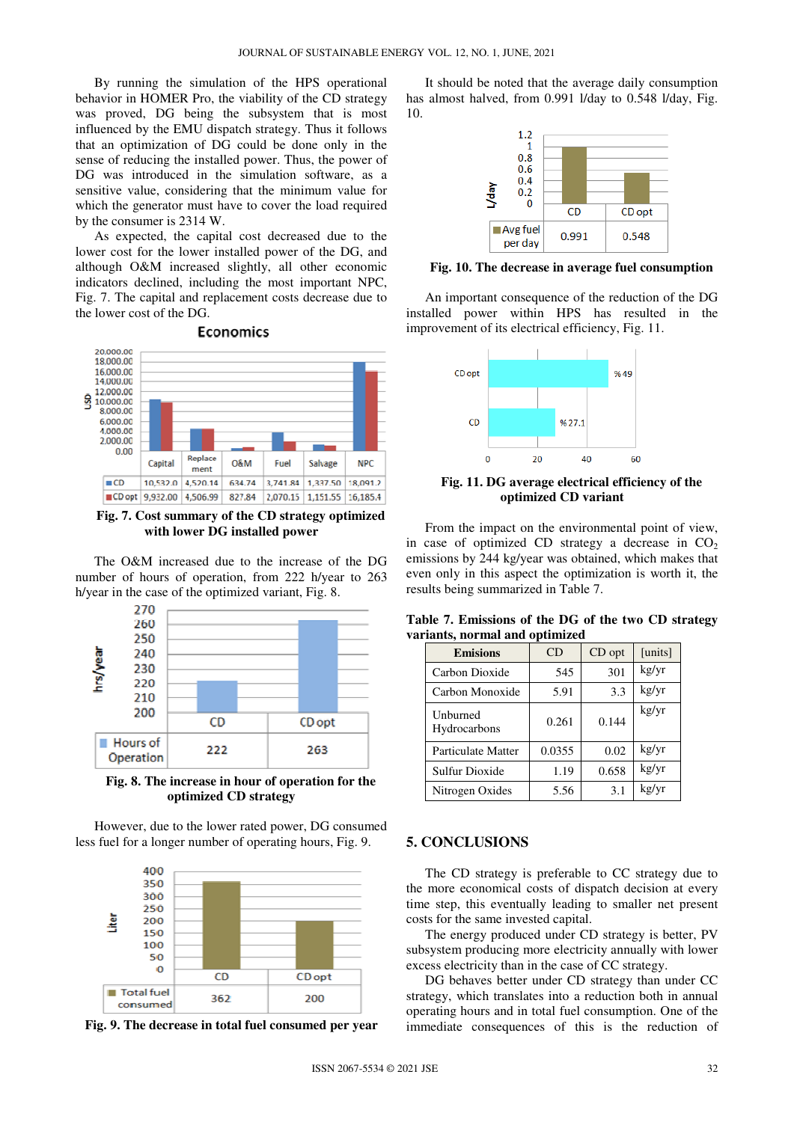By running the simulation of the HPS operational behavior in HOMER Pro, the viability of the CD strategy was proved, DG being the subsystem that is most influenced by the EMU dispatch strategy. Thus it follows that an optimization of DG could be done only in the sense of reducing the installed power. Thus, the power of DG was introduced in the simulation software, as a sensitive value, considering that the minimum value for which the generator must have to cover the load required by the consumer is 2314 W.

As expected, the capital cost decreased due to the lower cost for the lower installed power of the DG, and although O&M increased slightly, all other economic indicators declined, including the most important NPC, Fig. 7. The capital and replacement costs decrease due to the lower cost of the DG.



**Fig. 7. Cost summary of the CD strategy optimized with lower DG installed power**

The O&M increased due to the increase of the DG number of hours of operation, from 222 h/year to 263 h/year in the case of the optimized variant, Fig. 8.



**Fig. 8. The increase in hour of operation for the optimized CD strategy**

However, due to the lower rated power, DG consumed less fuel for a longer number of operating hours, Fig. 9.



**Fig. 9. The decrease in total fuel consumed per year**

It should be noted that the average daily consumption has almost halved, from 0.991 l/day to 0.548 l/day, Fig. 10.



**Fig. 10. The decrease in average fuel consumption** 

An important consequence of the reduction of the DG installed power within HPS has resulted in the improvement of its electrical efficiency, Fig. 11.



**Fig. 11. DG average electrical efficiency of the optimized CD variant** 

From the impact on the environmental point of view, in case of optimized CD strategy a decrease in  $CO<sub>2</sub>$ emissions by 244 kg/year was obtained, which makes that even only in this aspect the optimization is worth it, the results being summarized in Table 7.

| <b>Emisions</b>          | CD     | CD opt | [units] |
|--------------------------|--------|--------|---------|
| Carbon Dioxide           | 545    | 301    | kg/yr   |
| Carbon Monoxide          | 5.91   | 3.3    | kg/yr   |
| Unburned<br>Hydrocarbons | 0.261  | 0.144  | kg/yr   |
| Particulate Matter       | 0.0355 | 0.02   | kg/yr   |
| Sulfur Dioxide           | 1.19   | 0.658  | kg/yr   |
| Nitrogen Oxides          | 5.56   | 3.1    | kg/yr   |

**Table 7. Emissions of the DG of the two CD strategy variants, normal and optimized**

## **5. CONCLUSIONS**

The CD strategy is preferable to CC strategy due to the more economical costs of dispatch decision at every time step, this eventually leading to smaller net present costs for the same invested capital.

The energy produced under CD strategy is better, PV subsystem producing more electricity annually with lower excess electricity than in the case of CC strategy.

DG behaves better under CD strategy than under CC strategy, which translates into a reduction both in annual operating hours and in total fuel consumption. One of the immediate consequences of this is the reduction of